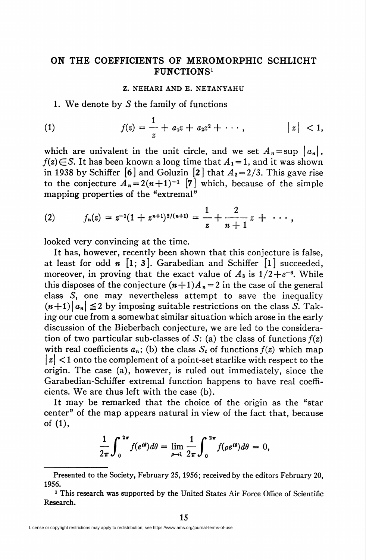## ON THE COEFFICIENTS OF MEROMORPHIC SCHLICHT FUNCTIONS1

## Z. NEHARI AND E. NETANYAHU

1. We denote by  $S$  the family of functions

(1) 
$$
f(z) = \frac{1}{z} + a_1 z + a_2 z^2 + \cdots, \qquad |z| < 1,
$$

which are univalent in the unit circle, and we set  $A_n = \sup |a_n|$ ,  $f(z) \in S$ . It has been known a long time that  $A_1 = 1$ , and it was shown in 1938 by Schiffer [6] and Goluzin [2] that  $A_2 = 2/3$ . This gave rise to the conjecture  $A_n = 2(n+1)^{-1}$  [7] which, because of the simple mapping properties of the "extremal"

(2) 
$$
f_n(z) = z^{-1}(1+z^{n+1})^{2/(n+1)} = \frac{1}{z} + \frac{2}{n+1}z + \cdots,
$$

looked very convincing at the time.

It has, however, recently been shown that this conjecture is false, at least for odd  $n \ [1; 3]$ . Garabedian and Schiffer  $[1]$  succeeded, moreover, in proving that the exact value of  $A_3$  is  $1/2 + e^{-6}$ . While this disposes of the conjecture  $(n+1)A_n = 2$  in the case of the general class S, one may nevertheless attempt to save the inequality  $(n+1)|a_n| \leq 2$  by imposing suitable restrictions on the class S. Taking our cue from a somewhat similar situation which arose in the early discussion of the Bieberbach conjecture, we are led to the consideration of two particular sub-classes of S: (a) the class of functions  $f(z)$ with real coefficients  $a_n$ ; (b) the class  $S_t$  of functions  $f(z)$  which map  $|z|$  < 1 onto the complement of a point-set starlike with respect to the origin. The case (a), however, is ruled out immediately, since the Garabedian-Schiffer extremal function happens to have real coefficients. We are thus left with the case (b).

It may be remarked that the choice of the origin as the "star center" of the map appears natural in view of the fact that, because of (1),

$$
\frac{1}{2\pi}\int_0^{2\pi}f(e^{i\theta})d\theta=\lim_{\rho\to 1}\frac{1}{2\pi}\int_0^{2\pi}f(\rho e^{i\theta})d\theta=0,
$$

Presented to the Society, February 25, 1956; received by the editors February 20, 1956.

<sup>&</sup>lt;sup>1</sup> This research was supported by the United States Air Force Office of Scientific Research.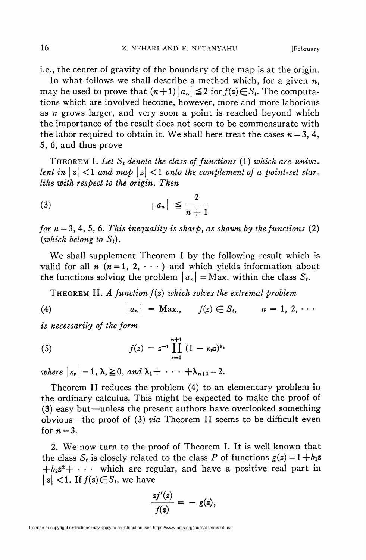i.e., the center of gravity of the boundary of the map is at the origin.

In what follows we shall describe a method which, for a given  $n$ , may be used to prove that  $(n+1)|a_n| \leq 2$  for  $f(z) \in S_t$ . The computations which are involved become, however, more and more laborious as  $n$  grows larger, and very soon a point is reached beyond which the importance of the result does not seem to be commensurate with the labor required to obtain it. We shall here treat the cases  $n = 3, 4$ , 5, 6, and thus prove

THEOREM I. Let  $S_t$  denote the class of functions (1) which are univalent in  $\vert z\vert < 1$  and map  $\vert z\vert < 1$  onto the complement of a point-set starlike with respect to the origin. Then

$$
(3) \t\t |a_n| \leq \frac{2}{n+1}
$$

for  $n = 3, 4, 5, 6$ . This inequality is sharp, as shown by the functions (2) (which belong to  $S_t$ ).

We shall supplement Theorem I by the following result which is valid for all  $n (n = 1, 2, \cdots)$  and which yields information about the functions solving the problem  $|a_n| = \text{Max}$ . within the class  $S_t$ .

THEOREM II. A function  $f(z)$  which solves the extremal problem

(4) 
$$
|a_n| = \text{Max.}, \quad f(z) \in S_i, \quad n = 1, 2, \cdots
$$

is necessarily of the form

(5) 
$$
f(z) = z^{-1} \prod_{\nu=1}^{n+1} (1 - \kappa_{\nu} z)^{\lambda_{\nu}}
$$

where  $|\kappa_{\nu}| = 1$ ,  $\lambda_{\nu} \ge 0$ , and  $\lambda_1 + \cdots + \lambda_{n+1} = 2$ .

Theorem II reduces the problem (4) to an elementary problem in the ordinary calculus. This might be expected to make the proof of (3) easy but—unless the present authors have overlooked something obvious—the proof of (3) via Theorem II seems to be difficult even for  $n = 3$ .

2. We now turn to the proof of Theorem I. It is well known that the class  $S_t$  is closely related to the class P of functions  $g(z) = 1 + b_1 z$  $+b_2z^2+\cdots$  which are regular, and have a positive real part in  $|z|$  < 1. If  $f(z) \in S_t$ , we have

$$
\frac{zf'(z)}{f(z)}=-g(z),
$$

License or copyright restrictions may apply to redistribution; see https://www.ams.org/journal-terms-of-use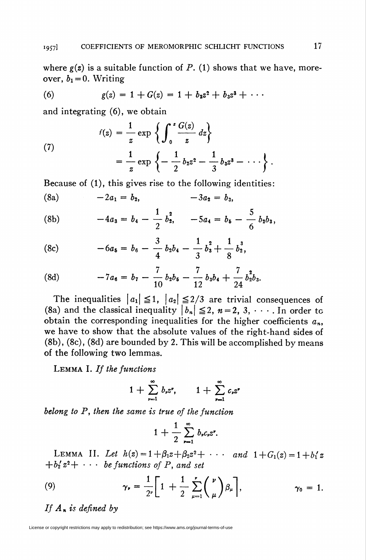where  $g(z)$  is a suitable function of P. (1) shows that we have, moreover,  $b_1 = 0$ . Writing

(6) 
$$
g(z) = 1 + G(z) = 1 + b_2 z^2 + b_3 z^3 + \cdots
$$

and integrating (6), we obtain

(7) 
$$
f(z) = \frac{1}{z} \exp \left\{ \int_0^z \frac{G(z)}{z} dz \right\} = \frac{1}{z} \exp \left\{ -\frac{1}{2} b_2 z^2 - \frac{1}{3} b_3 z^3 - \cdots \right\}.
$$

Because of (1), this gives rise to the following identities:

(8a) 
$$
-2a_1 = b_2
$$
,  $-3a_2 = b_3$ ,

(8b) 
$$
-4a_3 = b_4 - \frac{1}{2} b_2^2, \quad -5a_4 = b_5 - \frac{5}{6} b_2 b_3,
$$

(8c) 
$$
-6a_5 = b_6 - \frac{3}{4}b_2b_4 - \frac{1}{3}b_3^2 + \frac{1}{8}b_2^3,
$$

(8d) 
$$
-7a_6 = b_7 - \frac{7}{10}b_2b_6 - \frac{7}{12}b_3b_4 + \frac{7}{24}b_2^2b_3.
$$

The inequalities  $|a_1| \leq 1$ ,  $|a_2| \leq 2/3$  are trivial consequences of (8a) and the classical inequality  $\vert b_n \vert \leq 2$ ,  $n = 2, 3, \cdots$  In order to obtain the corresponding inequalities for the higher coefficients  $a_n$ , we have to show that the absolute values of the right-hand sides of (8b), (8c), (8d) are bounded by 2. This will be accomplished by means of the following two lemmas.

LEMMA I. If the functions

$$
1+\sum_{\nu=1}^{\infty}b_{\nu}z^{\nu},\qquad 1+\sum_{\nu=1}^{\infty}c_{\nu}z^{\nu}
$$

belong to P, then the same is true of the function

$$
1+\frac{1}{2}\sum_{r=1}^{\infty}b_{r}c_{r}z^{r}.
$$

LEMMA II. Let  $h(z) = 1 + \beta_1 z + \beta_2 z^2 + \cdots$  and  $1 + G_1(z) = 1 + b'_1 z$  $+b'_2 z^2 + \cdots$  be functions of P, and set

(9) 
$$
\gamma_{\nu} = \frac{1}{2^{\nu}} \left[ 1 + \frac{1}{2} \sum_{\mu=1}^{\nu} {\binom{\nu}{\mu}} \beta_{\mu} \right], \qquad \gamma_0 = 1.
$$

If  $A_n$  is defined by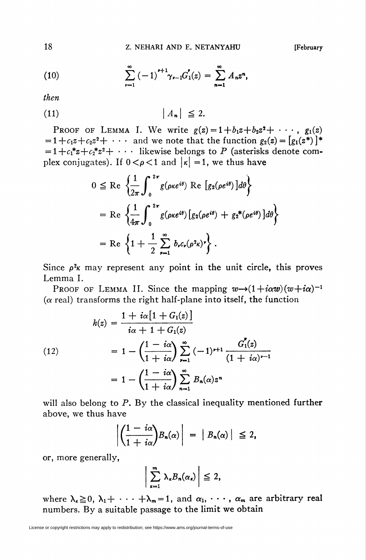(10) 
$$
\sum_{\nu=1}^{\infty} \left(-1\right)^{\nu+1} \gamma_{\nu-1} G_1'(z) = \sum_{n=1}^{\infty} A_n z^n,
$$

then

$$
|A_n| \leq 2.
$$

PROOF OF LEMMA I. We write  $g(z) = 1 + b_1z + b_2z^2 + \cdots$ ,  $g_1(z)$  $= 1 + c_1 z + c_2 z^2 + \cdots$  and we note that the function  $g_2(z) = [g_1(z^*)]^*$  $= 1+c_1^*z+c_2^*z^2+\cdots$  likewise belongs to P (asterisks denote complex conjugates). If  $0 < \rho < 1$  and  $\vert \kappa \vert = 1$ , we thus have

$$
0 \leq \text{Re} \left\{ \frac{1}{2\pi} \int_0^{2\pi} g(\rho \kappa e^{i\theta}) \text{ Re} \left[ g_2(\rho e^{i\theta}) \right] d\theta \right\}
$$
  
= Re  $\left\{ \frac{1}{4\pi} \int_0^{2\pi} g(\rho \kappa e^{i\theta}) \left[ g_2(\rho e^{i\theta}) + g_2^*(\rho e^{i\theta}) \right] d\theta \right\}$   
= Re  $\left\{ 1 + \frac{1}{2} \sum_{r=1}^{\infty} b_r c_r (\rho^2 \kappa)^r \right\}.$ 

Since  $\rho^2$ <sub>K</sub> may represent any point in the unit circle, this proves Lemma I.

PROOF OF LEMMA II. Since the mapping  $w\rightarrow (1+i\alpha w)(w+i\alpha)^{-1}$  $(\alpha$  real) transforms the right half-plane into itself, the function

(12)  
\n
$$
h(z) = \frac{1 + i\alpha [1 + G_1(z)]}{i\alpha + 1 + G_1(z)}
$$
\n
$$
= 1 - \left(\frac{1 - i\alpha}{1 + i\alpha}\right) \sum_{r=1}^{\infty} (-1)^{r+1} \frac{G_1'(z)}{(1 + i\alpha)^{r-1}}
$$
\n
$$
= 1 - \left(\frac{1 - i\alpha}{1 + i\alpha}\right) \sum_{n=1}^{\infty} B_n(\alpha) z^n
$$

will also belong to  $P$ . By the classical inequality mentioned further above, we thus have

$$
\left|\left(\frac{1-i\alpha}{1+i\alpha}\right)B_n(\alpha)\right| = |B_n(\alpha)| \leq 2,
$$

or, more generally,

$$
\sum_{\kappa=1}^m \lambda_\kappa B_n(\alpha_\kappa) \Big| \leq 2,
$$

where  $\lambda_{\kappa} \geq 0$ ,  $\lambda_1 + \cdots + \lambda_m = 1$ , and  $\alpha_1, \cdots, \alpha_m$  are arbitrary real numbers. By a suitable passage to the limit we obtain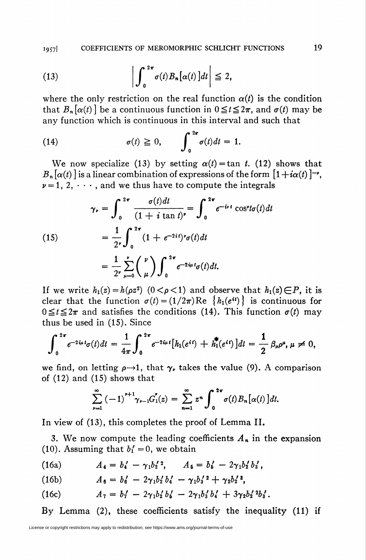1957] COEFFICIENTS OF MEROMORPHIC SCHLICHT FUNCTIONS 19

(13) 
$$
\left| \int_0^{2\pi} \sigma(t) B_n[\alpha(t)] dt \right| \leq 2,
$$

where the only restriction on the real function  $\alpha(t)$  is the condition that  $B_n[\alpha(t)]$  be a continuous function in  $0 \le t \le 2\pi$ , and  $\sigma(t)$  may be any function which is continuous in this interval and such that

(14) 
$$
\sigma(t) \geq 0, \qquad \int_0^{2\pi} \sigma(t) dt = 1.
$$

We now specialize (13) by setting  $\alpha(t)$  = tan t. (12) shows that  $B_n[\alpha(t)]$  is a linear combination of expressions of the form  $[1+i\alpha(t)]$ <sup>-</sup>,  $\nu = 1, 2, \cdots$ , and we thus have to compute the integrals

(15) 
$$
\gamma_r = \int_0^{2\pi} \frac{\sigma(t)dt}{(1 + i \tan t)^r} = \int_0^{2\pi} e^{-i\nu t} \cos^{\nu t} \sigma(t) dt
$$

$$
= \frac{1}{2^{\nu}} \int_0^{2\pi} (1 + e^{-2it})^{\nu} \sigma(t) dt
$$

$$
= \frac{1}{2^{\nu}} \sum_{\mu=0}^{\nu} {\binom{\nu}{\mu}} \int_0^{2\pi} e^{-2i\mu t} \sigma(t) dt.
$$

If we write  $h_1(z) = h(\rho z^2)$   $(0 < \rho < 1)$  and observe that  $h_1(z) \in P$ , it is clear that the function  $\sigma(t) = (1/2\pi)Re \{h_1(e^{it})\}$  is continuous for  $0 \le t \le 2\pi$  and satisfies the conditions (14). This function  $\sigma(t)$  may thus be used in (15). Since

$$
\int_0^{2\pi} e^{-2i\mu t} \sigma(t) dt = \frac{1}{4\pi} \int_0^{2\pi} e^{-2i\mu t} \big[ h_1(e^{it}) + h_1^{*}(e^{it}) \big] dt = \frac{1}{2} \beta_{\mu} \rho^{\mu}, \mu \neq 0,
$$

we find, on letting  $\rho \rightarrow 1$ , that  $\gamma$ , takes the value (9). A comparison of (12) and (15) shows that

$$
\sum_{\nu=1}^{\infty} \left(-1\right)^{\nu+1} \gamma_{\nu-1} G_1'(z) = \sum_{n=1}^{\infty} z^n \int_0^{2\pi} \sigma(t) B_n[\alpha(t)] dt.
$$

In view of (13), this completes the proof of Lemma II.

3. We now compute the leading coefficients  $A_n$  in the expansion (10). Assuming that  $b'_1 = 0$ , we obtain

(16a) 
$$
A_4 = b_4' - \gamma_1 b_2'^2, \qquad A_5 = b_5' - 2\gamma_1 b_2' b_3',
$$

(16b) 
$$
A_6 = b'_6 - 2\gamma_1 b'_2 b'_4 - \gamma_1 b'_3 a + \gamma_2 b'_2 a'_3,
$$

(16c) 
$$
A_7 = b'_1 - 2\gamma_1 b'_2 b'_6 - 2\gamma_1 b'_3 b'_4 + 3\gamma_2 b'_2 b'_3.
$$

By Lemma (2), these coefficients satisfy the inequality (11) if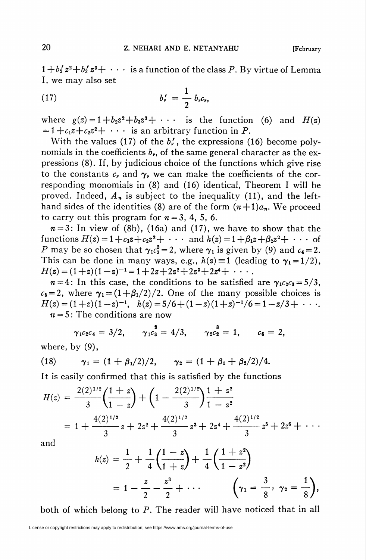$1+b_2'z^2+b_3'z^3+\cdots$  is a function of the class P. By virtue of Lemma I, we may also set

(17) 
$$
b'_{r} = \frac{1}{2} b_{r} c_{r},
$$

where  $g(z) = 1+b_2z^2+b_3z^3 + \cdots$  is the function (6) and  $H(z)$  $= 1+c_1z+c_2z^2+\cdots$  is an arbitrary function in P.

With the values (17) of the  $b'$ , the expressions (16) become polynomials in the coefficients  $b_{r}$ , of the same general character as the expressions (8). If, by judicious choice of the functions which give rise to the constants  $c_{\nu}$  and  $\gamma_{\nu}$  we can make the coefficients of the corresponding monomials in (8) and (16) identical, Theorem I will be proved. Indeed,  $A_n$  is subject to the inequality (11), and the lefthand sides of the identities (8) are of the form  $(n+1)a_n$ . We proceed to carry out this program for  $n = 3, 4, 5, 6$ .

 $n=3$ : In view of (8b), (16a) and (17), we have to show that the functions  $H(z) = 1 + c_1z + c_2z^2 + \cdots$  and  $h(z) = 1 + \beta_1z + \beta_2z^2 + \cdots$  of P may be so chosen that  $\gamma_1 c_2^2 = 2$ , where  $\gamma_1$  is given by (9) and  $c_4 = 2$ . This can be done in many ways, e.g.,  $h(z) \equiv 1$  (leading to  $\gamma_1 = 1/2$ ),  $H(z) = (1+z)(1-z)^{-1} = 1+2z+2z^2+2z^3+2z^4+\cdots$ 

 $n=4$ : In this case, the conditions to be satisfied are  $\gamma_1c_2c_3 = 5/3$ ,  $c_5 = 2$ , where  $\gamma_1 = (1+\beta_1/2)/2$ . One of the many possible choices is  $H(z) = (1+z)(1-z)^{-1}$ ,  $h(z) = 5/6 + (1-z)(1+z)^{-1}/6 = 1-z/3 + \cdots$  $u = 5$ : The conditions are now

$$
\gamma_1 c_2 c_4 = 3/2, \quad \gamma_1 c_3^2 = 4/3, \quad \gamma_2 c_2^3 = 1, \quad c_6 = 2,
$$

where, by  $(9)$ ,

(18) 
$$
\gamma_1 = (1 + \beta_1/2)/2, \quad \gamma_2 = (1 + \beta_1 + \beta_2/2)/4.
$$

It is easily confirmed that this is satisfied by the functions

$$
H(z) = \frac{2(2)^{1/2}}{3} \left( \frac{1+z}{1-z} \right) + \left( 1 - \frac{2(2)^{1/2}}{3} \right) \frac{1+z^2}{1-z^2}
$$
  
=  $1 + \frac{4(2)^{1/2}}{3} z + 2z^2 + \frac{4(2)^{1/2}}{3} z^3 + 2z^4 + \frac{4(2)^{1/2}}{3} z^5 + 2z^6 + \cdots$ 

and

$$
h(z) = \frac{1}{2} + \frac{1}{4} \left( \frac{1-z}{1+z} \right) + \frac{1}{4} \left( \frac{1+z^2}{1-z^2} \right)
$$
  
=  $1 - \frac{z}{2} - \frac{z^3}{2} + \cdots$   $\left( \gamma_1 = \frac{3}{8}, \gamma_2 = \frac{1}{8} \right),$ 

both of which belong to P. The reader will have noticed that in all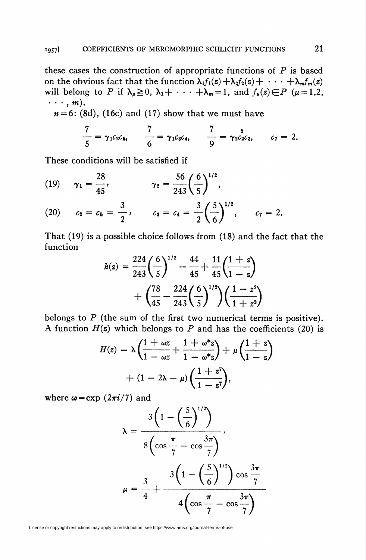these cases the construction of appropriate functions of  $P$  is based on the obvious fact that the function  $\lambda_1 f_1(z) + \lambda_2 f_2(z) + \cdots + \lambda_m f_m(z)$ will belong to P if  $\lambda_{\mu} \ge 0$ ,  $\lambda_1 + \cdots + \lambda_m = 1$ , and  $f_{\mu}(z) \in P$  ( $\mu = 1,2$ ,  $\cdots$ , m).

 $n = 6$ : (8d), (16c) and (17) show that we must have

$$
\frac{7}{5} = \gamma_1 c_2 c_5, \qquad \frac{7}{6} = \gamma_1 c_3 c_4, \qquad \frac{7}{9} = \gamma_2 c_2 c_3, \qquad c_7 = 2.
$$

These conditions will be satisfied if

(19) 
$$
\gamma_1 = \frac{28}{45}
$$
,  $\gamma_2 = \frac{56}{243} \left(\frac{6}{5}\right)^{1/2}$ ,

(20) 
$$
c_2 = c_5 = \frac{3}{2}
$$
,  $c_3 = c_4 = \frac{3}{2} \left(\frac{5}{6}\right)^{1/2}$ ,  $c_7 = 2$ .

That (19) is a possible choice follows from (18) and the fact that the function

$$
h(z) = \frac{224}{243} \left(\frac{6}{5}\right)^{1/2} - \frac{44}{45} + \frac{11}{45} \left(\frac{1+z}{1-z}\right) + \left(\frac{78}{45} - \frac{224}{243} \left(\frac{6}{5}\right)^{1/2}\right) \left(\frac{1-z^2}{1+z^2}\right)
$$

belongs to  $P$  (the sum of the first two numerical terms is positive). A function  $H(z)$  which belongs to P and has the coefficients (20) is

$$
H(z) = \lambda \left( \frac{1 + \omega z}{1 - \omega z} + \frac{1 + \omega^* z}{1 - \omega^* z} \right) + \mu \left( \frac{1 + z}{1 - z} \right)
$$

$$
+ (1 - 2\lambda - \mu) \left( \frac{1 + z^{\eta}}{1 - z^{\eta}} \right),
$$

where  $\omega = \exp(2\pi i/7)$  and

$$
\lambda = \frac{3\left(1 - \left(\frac{5}{6}\right)^{1/2}\right)}{8\left(\cos\frac{\pi}{7} - \cos\frac{3\pi}{7}\right)},
$$
  

$$
\mu = \frac{3}{4} + \frac{3\left(1 - \left(\frac{5}{6}\right)^{1/2}\right)\cos\frac{3\pi}{7}}{4\left(\cos\frac{\pi}{7} - \cos\frac{3\pi}{7}\right)}
$$

License or copyright restrictions may apply to redistribution; see https://www.ams.org/journal-terms-of-use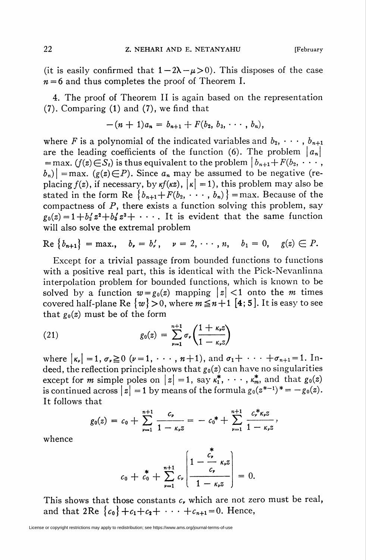(it is easily confirmed that  $1 - 2\lambda - \mu > 0$ ). This disposes of the case  $n = 6$  and thus completes the proof of Theorem I.

4. The proof of Theorem II is again based on the representation (7). Comparing (1) and (7), we find that

$$
-(n+1)a_n = b_{n+1} + F(b_2, b_3, \cdots, b_n),
$$

where F is a polynomial of the indicated variables and  $b_2, \dots, b_{n+1}$ are the leading coefficients of the function (6). The problem  $|a_n|$  $=$  max. ( $f(z) \in S_t$ ) is thus equivalent to the problem  $\big| b_{n+1} + F(b_2, \dots, b_n) \big|$  $|b_n\rangle$  = max. (g(z)  $\in$  P). Since  $a_n$  may be assumed to be negative (replacing  $f(z)$ , if necessary, by  $\kappa f(\kappa z)$ ,  $\kappa = 1$ , this problem may also be stated in the form Re  $\{b_{n+1}+F(b_2, \dots, b_n)\}$  = max. Because of the compactness of  $P$ , there exists a function solving this problem, say  $g_0(z) = 1 + b'_2 z^2 + b'_3 z^3 + \cdots$ . It is evident that the same function will also solve the extremal problem

$$
\text{Re}\,\{b_{n+1}\} = \max, \quad b_{\nu} = b'_{\nu}, \quad \nu = 2, \cdots, n, \quad b_1 = 0, \quad g(z) \in P.
$$

Except for a trivial passage from bounded functions to functions with a positive real part, this is identical with the Pick-Nevanlinna interpolation problem for bounded functions, which is known to be solved by a function  $w = g_0(z)$  mapping  $|z| < 1$  onto the m times covered half-plane Re  $\{w\} > 0$ , where  $m \leq n+1$  [4; 5]. It is easy to see that  $g_0(z)$  must be of the form

(21) 
$$
g_0(z) = \sum_{\nu=1}^{n+1} \sigma_{\nu} \left( \frac{1 + \kappa_{\nu} z}{1 - \kappa_{\nu} z} \right)
$$

where  $\left|\kappa_{\nu}\right| = 1, \, \sigma_{\nu} \ge 0 \, (\nu = 1, \, \cdots, n + 1)$ , and  $\sigma_1 + \cdots + \sigma_{n+1} = 1$ . Indeed, the reflection principle shows that  $g_0(z)$  can have no singularities except for *m* simple poles on  $|z| = 1$ , say  $\kappa_1^*, \cdots, \kappa_m^*$  and that  $g_0(z)$ is continued across  $|z| = 1$  by means of the formula  $g_0(z^{*-1})^* = -g_0(z)$ . It follows that

$$
g_0(z) = c_0 + \sum_{\nu=1}^{n+1} \frac{c_{\nu}}{1 - \kappa_{\nu} z} = -c_0^* + \sum_{\nu=1}^{n+1} \frac{c_{\nu}^* \kappa_{\nu} z}{1 - \kappa_{\nu} z},
$$

whence

$$
c_0 + c_0^* + \sum_{\nu=1}^{n+1} c_{\nu} \left( \frac{1 - \frac{c_{\nu}}{c_{\nu}}}{1 - \kappa_{\nu} z} \right) = 0.
$$

This shows that those constants  $c<sub>r</sub>$  which are not zero must be real, and that 2Re  ${c_0}$  + $c_1+c_2+\cdots+c_{n+1}=0$ . Hence,